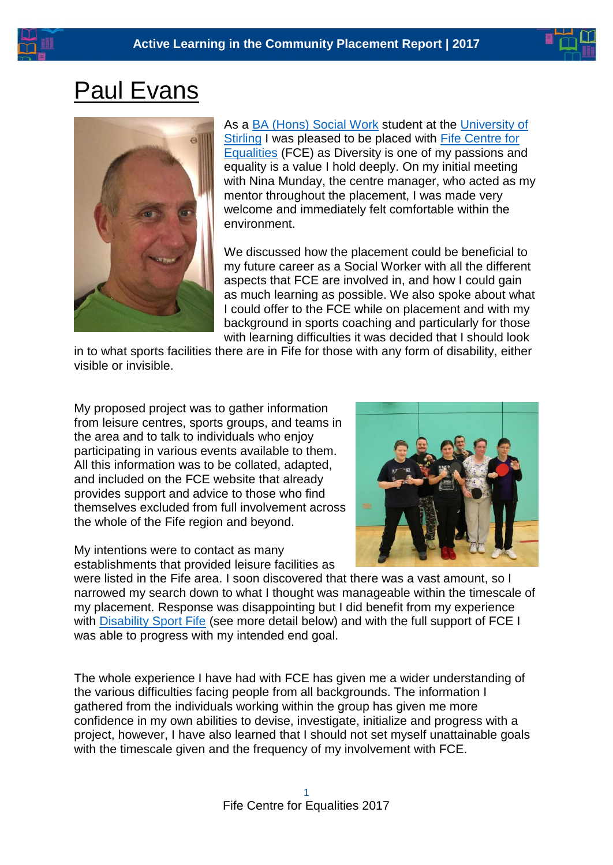## Paul Evans



As a [BA \(Hons\) Social Work](http://www.stir.ac.uk/undergraduate-study/course-information/courses-a-to-z/school-of-applied-social-science/social-work/) student at the [University of](https://www.stir.ac.uk/)  [Stirling](https://www.stir.ac.uk/) I was pleased to be placed with [Fife Centre for](file:///C:/Users/Elric.FCE002/Desktop/centreforequalities.org.uk)  [Equalities](file:///C:/Users/Elric.FCE002/Desktop/centreforequalities.org.uk) (FCE) as Diversity is one of my passions and equality is a value I hold deeply. On my initial meeting with Nina Munday, the centre manager, who acted as my mentor throughout the placement, I was made very welcome and immediately felt comfortable within the environment.

We discussed how the placement could be beneficial to my future career as a Social Worker with all the different aspects that FCE are involved in, and how I could gain as much learning as possible. We also spoke about what I could offer to the FCE while on placement and with my background in sports coaching and particularly for those with learning difficulties it was decided that I should look

in to what sports facilities there are in Fife for those with any form of disability, either visible or invisible.

My proposed project was to gather information from leisure centres, sports groups, and teams in the area and to talk to individuals who enjoy participating in various events available to them. All this information was to be collated, adapted, and included on the FCE website that already provides support and advice to those who find themselves excluded from full involvement across the whole of the Fife region and beyond.

My intentions were to contact as many establishments that provided leisure facilities as



were listed in the Fife area. I soon discovered that there was a vast amount, so I narrowed my search down to what I thought was manageable within the timescale of my placement. Response was disappointing but I did benefit from my experience with [Disability Sport Fife](https://www.facebook.com/DisabilitySportFife/) (see more detail below) and with the full support of FCE I was able to progress with my intended end goal.

The whole experience I have had with FCE has given me a wider understanding of the various difficulties facing people from all backgrounds. The information I gathered from the individuals working within the group has given me more confidence in my own abilities to devise, investigate, initialize and progress with a project, however, I have also learned that I should not set myself unattainable goals with the timescale given and the frequency of my involvement with FCE.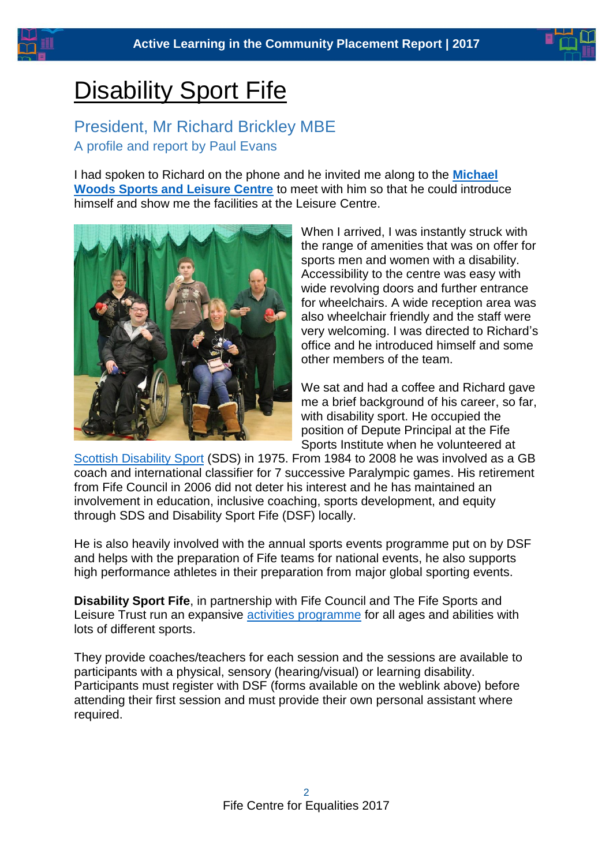

# **Disability Sport Fife**

#### President, Mr Richard Brickley MBE A profile and report by Paul Evans

I had spoken to Richard on the phone and he invited me along to the **[Michael](http://www.fifeleisure.org.uk/index.cfm/locations/michael-woods/)  [Woods Sports and Leisure Centre](http://www.fifeleisure.org.uk/index.cfm/locations/michael-woods/)** to meet with him so that he could introduce himself and show me the facilities at the Leisure Centre.



When I arrived, I was instantly struck with the range of amenities that was on offer for sports men and women with a disability. Accessibility to the centre was easy with wide revolving doors and further entrance for wheelchairs. A wide reception area was also wheelchair friendly and the staff were very welcoming. I was directed to Richard's office and he introduced himself and some other members of the team.

We sat and had a coffee and Richard gave me a brief background of his career, so far, with disability sport. He occupied the position of Depute Principal at the Fife Sports Institute when he volunteered at

[Scottish Disability Sport](http://www.scottishdisabilitysport.com/) (SDS) in 1975. From 1984 to 2008 he was involved as a GB coach and international classifier for 7 successive Paralympic games. His retirement from Fife Council in 2006 did not deter his interest and he has maintained an involvement in education, inclusive coaching, sports development, and equity through SDS and Disability Sport Fife (DSF) locally.

He is also heavily involved with the annual sports events programme put on by DSF and helps with the preparation of Fife teams for national events, he also supports high performance athletes in their preparation from major global sporting events.

**Disability Sport Fife**, in partnership with Fife Council and The Fife Sports and Leisure Trust run an expansive [activities programme](http://www.fifeleisure.org.uk/index.cfm/health-and-wellbeing/disability-sport-fife/) for all ages and abilities with lots of different sports.

They provide coaches/teachers for each session and the sessions are available to participants with a physical, sensory (hearing/visual) or learning disability. Participants must register with DSF (forms available on the weblink above) before attending their first session and must provide their own personal assistant where required.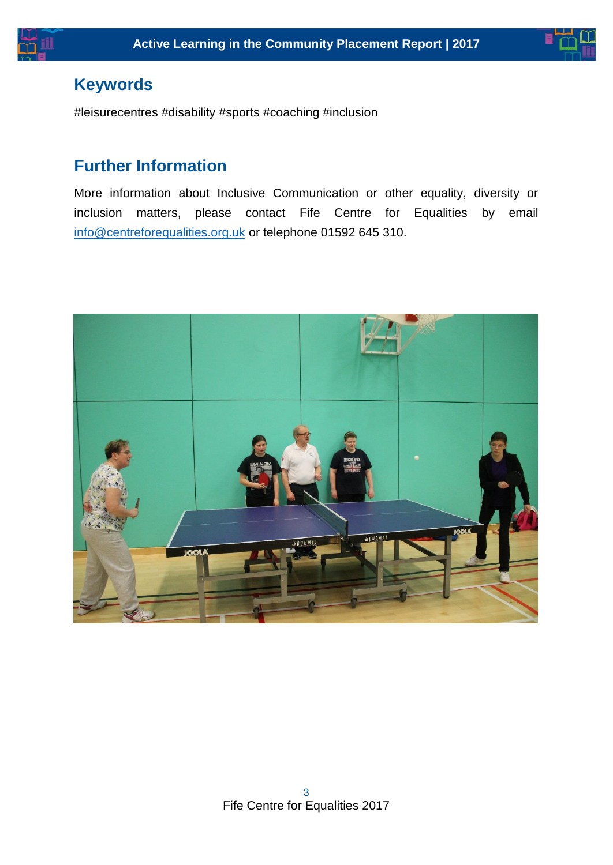



### **Keywords**

#leisurecentres #disability #sports #coaching #inclusion

### **Further Information**

More information about Inclusive Communication or other equality, diversity or inclusion matters, please contact Fife Centre for Equalities by email [info@centreforequalities.org.uk](mailto:info@centreforequalities.org.uk) or telephone 01592 645 310.